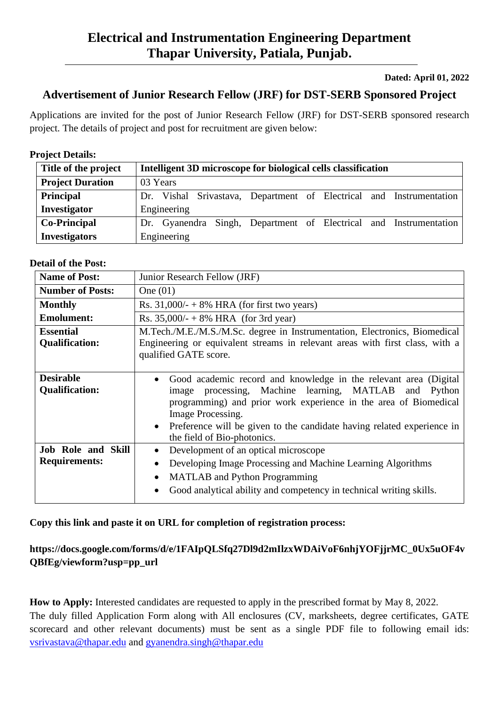### **Dated: April 01, 2022**

# **Advertisement of Junior Research Fellow (JRF) for DST-SERB Sponsored Project**

Applications are invited for the post of Junior Research Fellow (JRF) for DST-SERB sponsored research project. The details of project and post for recruitment are given below:

### **Project Details:**

| Title of the project    | Intelligent 3D microscope for biological cells classification       |
|-------------------------|---------------------------------------------------------------------|
| <b>Project Duration</b> | 03 Years                                                            |
| <b>Principal</b>        | Dr. Vishal Srivastava, Department of Electrical and Instrumentation |
| Investigator            | Engineering                                                         |
| <b>Co-Principal</b>     | Dr. Gyanendra Singh, Department of Electrical and Instrumentation   |
| <b>Investigators</b>    | Engineering                                                         |

#### **Detail of the Post:**

| <b>Name of Post:</b>      | Junior Research Fellow (JRF)                                                  |
|---------------------------|-------------------------------------------------------------------------------|
| <b>Number of Posts:</b>   | One $(01)$                                                                    |
| <b>Monthly</b>            | Rs. $31,000/ - + 8\%$ HRA (for first two years)                               |
| <b>Emolument:</b>         | Rs. $35,000/ - +8\%$ HRA (for 3rd year)                                       |
| <b>Essential</b>          | M.Tech./M.E./M.S./M.Sc. degree in Instrumentation, Electronics, Biomedical    |
| <b>Qualification:</b>     | Engineering or equivalent streams in relevant areas with first class, with a  |
|                           | qualified GATE score.                                                         |
|                           |                                                                               |
| <b>Desirable</b>          | Good academic record and knowledge in the relevant area (Digital<br>$\bullet$ |
| <b>Qualification:</b>     | processing, Machine learning, MATLAB and Python<br>image                      |
|                           | programming) and prior work experience in the area of Biomedical              |
|                           | Image Processing.                                                             |
|                           | • Preference will be given to the candidate having related experience in      |
|                           | the field of Bio-photonics.                                                   |
| <b>Job Role and Skill</b> | Development of an optical microscope<br>$\bullet$                             |
| <b>Requirements:</b>      | Developing Image Processing and Machine Learning Algorithms<br>$\bullet$      |
|                           | <b>MATLAB</b> and Python Programming<br>$\bullet$                             |
|                           | Good analytical ability and competency in technical writing skills.           |
|                           |                                                                               |

#### **Copy this link and paste it on URL for completion of registration process:**

## **https://docs.google.com/forms/d/e/1FAIpQLSfq27Dl9d2mIlzxWDAiVoF6nhjYOFjjrMC\_0Ux5uOF4v QBfEg/viewform?usp=pp\_url**

**How to Apply:** Interested candidates are requested to apply in the prescribed format by May 8, 2022. The duly filled Application Form along with All enclosures (CV, marksheets, degree certificates, GATE scorecard and other relevant documents) must be sent as a single PDF file to following email ids: [vsrivastava@thapar.edu](mailto:vsrivastava@thapar.edu) and [gyanendra.singh@thapar.edu](mailto:gyanendra.singh@thapar.edu)